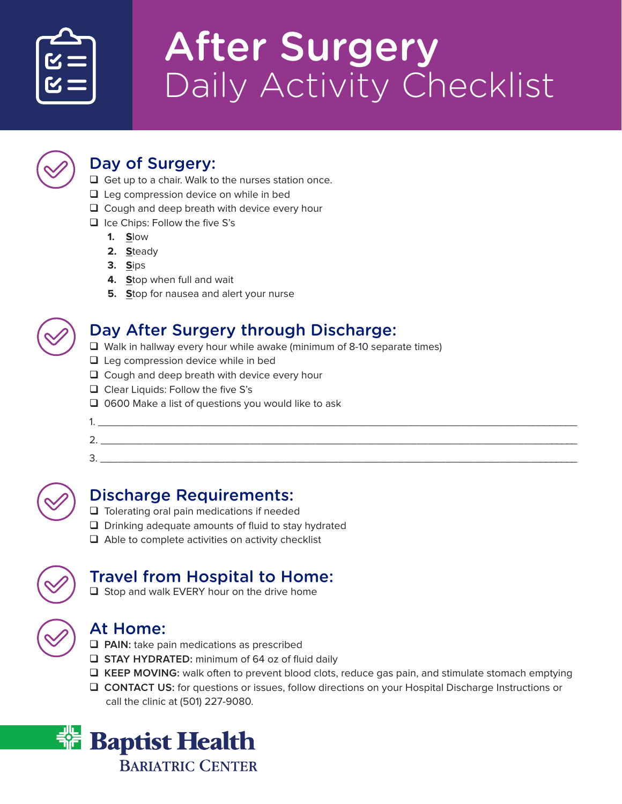

# **After Surgery** Daily Activity Checklist



### Day of Surgery:

- $\Box$  Get up to a chair. Walk to the nurses station once.
- $\Box$  Leg compression device on while in bed
- $\Box$  Cough and deep breath with device every hour
- $\Box$  Ice Chips: Follow the five S's
	- **1. S**low
	- **2. S**teady
	- **3. S**ips
	- **4. S**top when full and wait
	- **5. S**top for nausea and alert your nurse



## Day After Surgery through Discharge:

- $\Box$  Walk in hallway every hour while awake (minimum of 8-10 separate times)
- $\Box$  Leg compression device while in bed
- $\Box$  Cough and deep breath with device every hour
- $\Box$  Clear Liquids: Follow the five S's
- $\Box$  0600 Make a list of questions you would like to ask

| -<br>- |  |  |  |  |
|--------|--|--|--|--|

3. \_\_\_\_\_\_\_\_\_\_\_\_\_\_\_\_\_\_\_\_\_\_\_\_\_\_\_\_\_\_\_\_\_\_\_\_\_\_\_\_\_\_\_\_\_\_\_\_\_\_\_\_\_\_\_\_\_\_\_\_\_\_\_\_\_\_\_\_\_\_\_\_\_\_\_\_\_\_\_\_\_



#### Discharge Requirements:

- $\Box$  Tolerating oral pain medications if needed
- $\Box$  Drinking adequate amounts of fluid to stay hydrated
- $\Box$  Able to complete activities on activity checklist



#### Travel from Hospital to Home:

 $\Box$  Stop and walk EVERY hour on the drive home

## At Home:

- **Q** PAIN: take pain medications as prescribed
- **Q STAY HYDRATED:** minimum of 64 oz of fluid daily
- □ KEEP MOVING: walk often to prevent blood clots, reduce gas pain, and stimulate stomach emptying
- □ CONTACT US: for questions or issues, follow directions on your Hospital Discharge Instructions or call the clinic at (501) 227-9080.